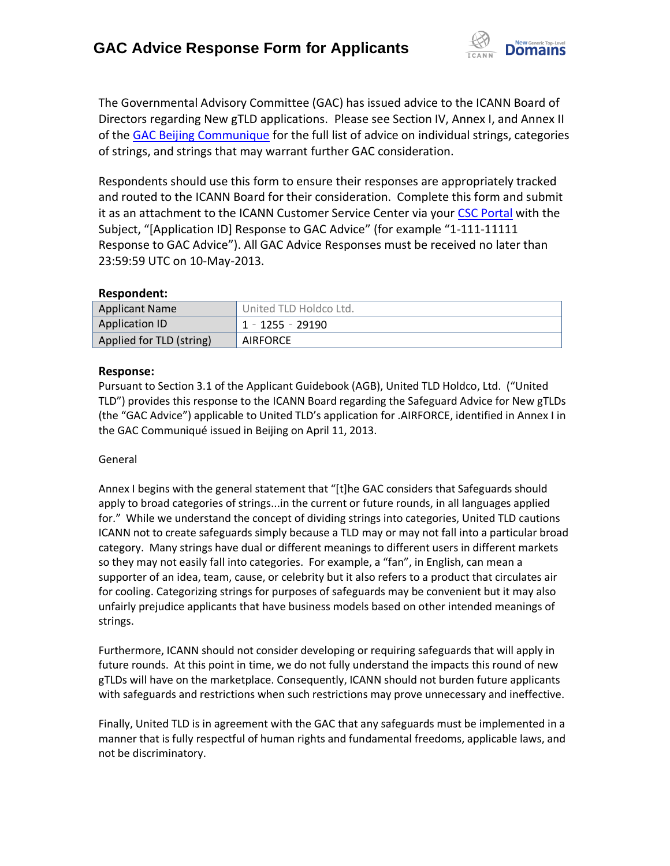

The Governmental Advisory Committee (GAC) has issued advice to the ICANN Board of Directors regarding New gTLD applications. Please see Section IV, Annex I, and Annex II of the [GAC Beijing Communique](http://www.icann.org/en/news/correspondence/gac-to-board-18apr13-en.pdf) for the full list of advice on individual strings, categories of strings, and strings that may warrant further GAC consideration.

Respondents should use this form to ensure their responses are appropriately tracked and routed to the ICANN Board for their consideration. Complete this form and submit it as an attachment to the ICANN Customer Service Center via your CSC [Portal](https://myicann.secure.force.com/) with the Subject, "[Application ID] Response to GAC Advice" (for example "1-111-11111 Response to GAC Advice"). All GAC Advice Responses must be received no later than 23:59:59 UTC on 10-May-2013.

#### **Respondent:**

| <b>Applicant Name</b>    | United TLD Holdco Ltd. |
|--------------------------|------------------------|
| <b>Application ID</b>    | 1 - 1255 - 29190       |
| Applied for TLD (string) | <b>AIRFORCE</b>        |

#### **Response:**

Pursuant to Section 3.1 of the Applicant Guidebook (AGB), United TLD Holdco, Ltd. ("United TLD") provides this response to the ICANN Board regarding the Safeguard Advice for New gTLDs (the "GAC Advice") applicable to United TLD's application for .AIRFORCE, identified in Annex I in the GAC Communiqué issued in Beijing on April 11, 2013.

#### General

Annex I begins with the general statement that "[t]he GAC considers that Safeguards should apply to broad categories of strings...in the current or future rounds, in all languages applied for." While we understand the concept of dividing strings into categories, United TLD cautions ICANN not to create safeguards simply because a TLD may or may not fall into a particular broad category. Many strings have dual or different meanings to different users in different markets so they may not easily fall into categories. For example, a "fan", in English, can mean a supporter of an idea, team, cause, or celebrity but it also refers to a product that circulates air for cooling. Categorizing strings for purposes of safeguards may be convenient but it may also unfairly prejudice applicants that have business models based on other intended meanings of strings.

Furthermore, ICANN should not consider developing or requiring safeguards that will apply in future rounds. At this point in time, we do not fully understand the impacts this round of new gTLDs will have on the marketplace. Consequently, ICANN should not burden future applicants with safeguards and restrictions when such restrictions may prove unnecessary and ineffective.

Finally, United TLD is in agreement with the GAC that any safeguards must be implemented in a manner that is fully respectful of human rights and fundamental freedoms, applicable laws, and not be discriminatory.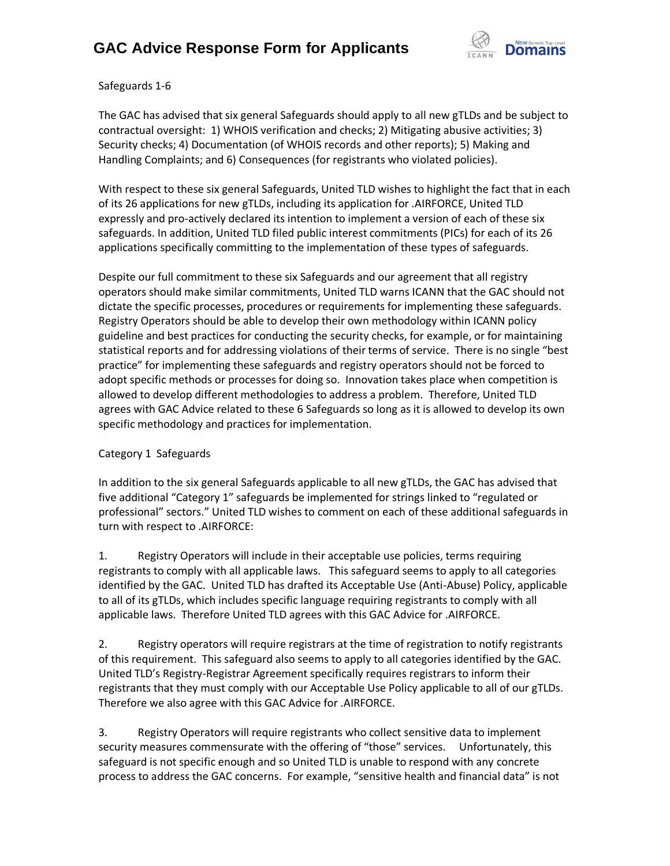

Safeguards 1-6

The GAC has advised that six general Safeguards should apply to all new gTLDs and be subject to contractual oversight: 1) WHOIS verification and checks; 2) Mitigating abusive activities; 3) Security checks; 4) Documentation (of WHOIS records and other reports); 5) Making and Handling Complaints; and 6) Consequences (for registrants who violated policies).

With respect to these six general Safeguards, United TLD wishes to highlight the fact that in each of its 26 applications for new gTLDs, including its application for .AIRFORCE, United TLD expressly and pro-actively declared its intention to implement a version of each of these six safeguards. In addition, United TLD filed public interest commitments (PICs) for each of its 26 applications specifically committing to the implementation of these types of safeguards.

Despite our full commitment to these six Safeguards and our agreement that all registry operators should make similar commitments, United TLD warns ICANN that the GAC should not dictate the specific processes, procedures or requirements for implementing these safeguards. Registry Operators should be able to develop their own methodology within ICANN policy guideline and best practices for conducting the security checks, for example, or for maintaining statistical reports and for addressing violations of their terms of service. There is no single "best practice" for implementing these safeguards and registry operators should not be forced to adopt specific methods or processes for doing so. Innovation takes place when competition is allowed to develop different methodologies to address a problem. Therefore, United TLD agrees with GAC Advice related to these 6 Safeguards so long as it is allowed to develop its own specific methodology and practices for implementation.

### Category 1 Safeguards

In addition to the six general Safeguards applicable to all new gTLDs, the GAC has advised that five additional "Category 1" safeguards be implemented for strings linked to "regulated or professional" sectors." United TLD wishes to comment on each of these additional safeguards in turn with respect to .AIRFORCE:

1. Registry Operators will include in their acceptable use policies, terms requiring registrants to comply with all applicable laws. This safeguard seems to apply to all categories identified by the GAC. United TLD has drafted its Acceptable Use (Anti-Abuse) Policy, applicable to all of its gTLDs, which includes specific language requiring registrants to comply with all applicable laws. Therefore United TLD agrees with this GAC Advice for .AIRFORCE.

2. Registry operators will require registrars at the time of registration to notify registrants of this requirement. This safeguard also seems to apply to all categories identified by the GAC. United TLD's Registry-Registrar Agreement specifically requires registrars to inform their registrants that they must comply with our Acceptable Use Policy applicable to all of our gTLDs. Therefore we also agree with this GAC Advice for .AIRFORCE.

3. Registry Operators will require registrants who collect sensitive data to implement security measures commensurate with the offering of "those" services. Unfortunately, this safeguard is not specific enough and so United TLD is unable to respond with any concrete process to address the GAC concerns. For example, "sensitive health and financial data" is not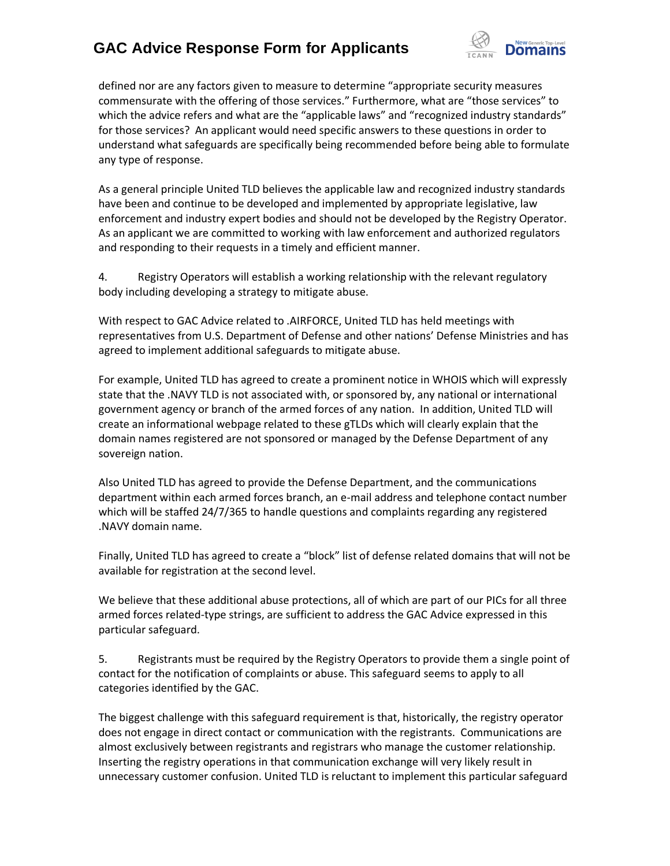

defined nor are any factors given to measure to determine "appropriate security measures commensurate with the offering of those services." Furthermore, what are "those services" to which the advice refers and what are the "applicable laws" and "recognized industry standards" for those services? An applicant would need specific answers to these questions in order to understand what safeguards are specifically being recommended before being able to formulate any type of response.

As a general principle United TLD believes the applicable law and recognized industry standards have been and continue to be developed and implemented by appropriate legislative, law enforcement and industry expert bodies and should not be developed by the Registry Operator. As an applicant we are committed to working with law enforcement and authorized regulators and responding to their requests in a timely and efficient manner.

4. Registry Operators will establish a working relationship with the relevant regulatory body including developing a strategy to mitigate abuse.

With respect to GAC Advice related to .AIRFORCE, United TLD has held meetings with representatives from U.S. Department of Defense and other nations' Defense Ministries and has agreed to implement additional safeguards to mitigate abuse.

For example, United TLD has agreed to create a prominent notice in WHOIS which will expressly state that the .NAVY TLD is not associated with, or sponsored by, any national or international government agency or branch of the armed forces of any nation. In addition, United TLD will create an informational webpage related to these gTLDs which will clearly explain that the domain names registered are not sponsored or managed by the Defense Department of any sovereign nation.

Also United TLD has agreed to provide the Defense Department, and the communications department within each armed forces branch, an e-mail address and telephone contact number which will be staffed 24/7/365 to handle questions and complaints regarding any registered .NAVY domain name.

Finally, United TLD has agreed to create a "block" list of defense related domains that will not be available for registration at the second level.

We believe that these additional abuse protections, all of which are part of our PICs for all three armed forces related-type strings, are sufficient to address the GAC Advice expressed in this particular safeguard.

5. Registrants must be required by the Registry Operators to provide them a single point of contact for the notification of complaints or abuse. This safeguard seems to apply to all categories identified by the GAC.

The biggest challenge with this safeguard requirement is that, historically, the registry operator does not engage in direct contact or communication with the registrants. Communications are almost exclusively between registrants and registrars who manage the customer relationship. Inserting the registry operations in that communication exchange will very likely result in unnecessary customer confusion. United TLD is reluctant to implement this particular safeguard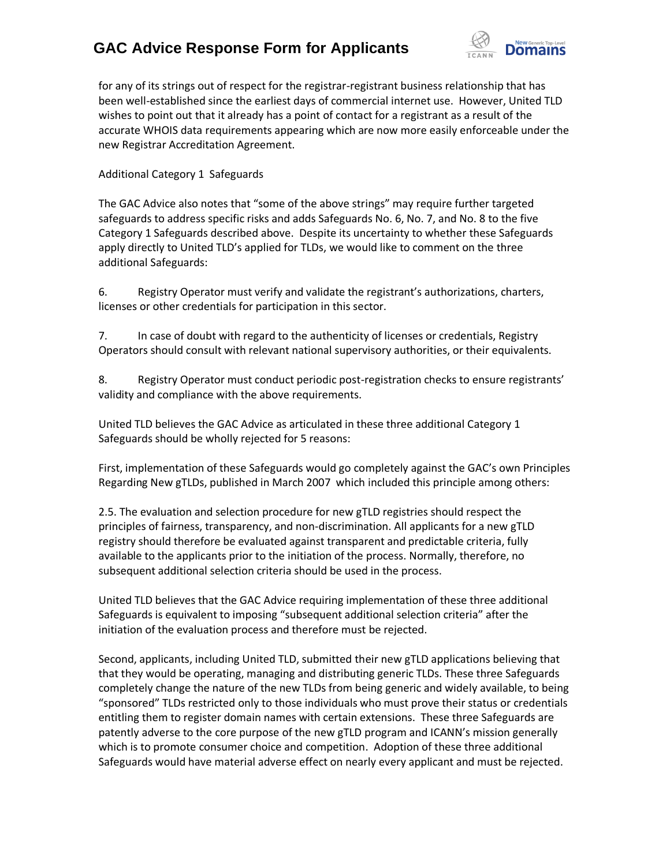

for any of its strings out of respect for the registrar-registrant business relationship that has been well-established since the earliest days of commercial internet use. However, United TLD wishes to point out that it already has a point of contact for a registrant as a result of the accurate WHOIS data requirements appearing which are now more easily enforceable under the new Registrar Accreditation Agreement.

Additional Category 1 Safeguards

The GAC Advice also notes that "some of the above strings" may require further targeted safeguards to address specific risks and adds Safeguards No. 6, No. 7, and No. 8 to the five Category 1 Safeguards described above. Despite its uncertainty to whether these Safeguards apply directly to United TLD's applied for TLDs, we would like to comment on the three additional Safeguards:

6. Registry Operator must verify and validate the registrant's authorizations, charters, licenses or other credentials for participation in this sector.

7. In case of doubt with regard to the authenticity of licenses or credentials, Registry Operators should consult with relevant national supervisory authorities, or their equivalents.

8. Registry Operator must conduct periodic post-registration checks to ensure registrants' validity and compliance with the above requirements.

United TLD believes the GAC Advice as articulated in these three additional Category 1 Safeguards should be wholly rejected for 5 reasons:

First, implementation of these Safeguards would go completely against the GAC's own Principles Regarding New gTLDs, published in March 2007 which included this principle among others:

2.5. The evaluation and selection procedure for new gTLD registries should respect the principles of fairness, transparency, and non-discrimination. All applicants for a new gTLD registry should therefore be evaluated against transparent and predictable criteria, fully available to the applicants prior to the initiation of the process. Normally, therefore, no subsequent additional selection criteria should be used in the process.

United TLD believes that the GAC Advice requiring implementation of these three additional Safeguards is equivalent to imposing "subsequent additional selection criteria" after the initiation of the evaluation process and therefore must be rejected.

Second, applicants, including United TLD, submitted their new gTLD applications believing that that they would be operating, managing and distributing generic TLDs. These three Safeguards completely change the nature of the new TLDs from being generic and widely available, to being "sponsored" TLDs restricted only to those individuals who must prove their status or credentials entitling them to register domain names with certain extensions. These three Safeguards are patently adverse to the core purpose of the new gTLD program and ICANN's mission generally which is to promote consumer choice and competition. Adoption of these three additional Safeguards would have material adverse effect on nearly every applicant and must be rejected.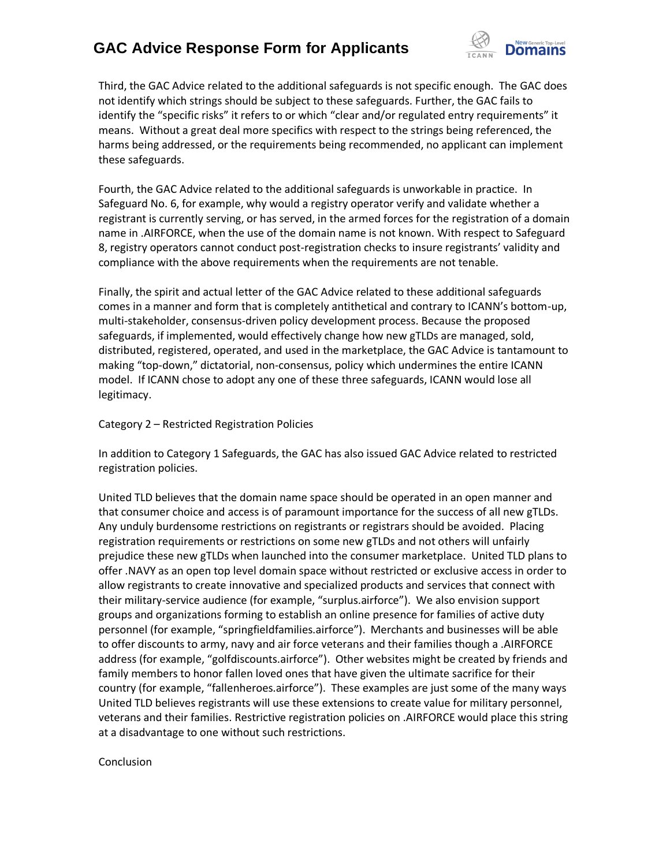

Third, the GAC Advice related to the additional safeguards is not specific enough. The GAC does not identify which strings should be subject to these safeguards. Further, the GAC fails to identify the "specific risks" it refers to or which "clear and/or regulated entry requirements" it means. Without a great deal more specifics with respect to the strings being referenced, the harms being addressed, or the requirements being recommended, no applicant can implement these safeguards.

Fourth, the GAC Advice related to the additional safeguards is unworkable in practice. In Safeguard No. 6, for example, why would a registry operator verify and validate whether a registrant is currently serving, or has served, in the armed forces for the registration of a domain name in .AIRFORCE, when the use of the domain name is not known. With respect to Safeguard 8, registry operators cannot conduct post-registration checks to insure registrants' validity and compliance with the above requirements when the requirements are not tenable.

Finally, the spirit and actual letter of the GAC Advice related to these additional safeguards comes in a manner and form that is completely antithetical and contrary to ICANN's bottom-up, multi-stakeholder, consensus-driven policy development process. Because the proposed safeguards, if implemented, would effectively change how new gTLDs are managed, sold, distributed, registered, operated, and used in the marketplace, the GAC Advice is tantamount to making "top-down," dictatorial, non-consensus, policy which undermines the entire ICANN model. If ICANN chose to adopt any one of these three safeguards, ICANN would lose all legitimacy.

#### Category 2 – Restricted Registration Policies

In addition to Category 1 Safeguards, the GAC has also issued GAC Advice related to restricted registration policies.

United TLD believes that the domain name space should be operated in an open manner and that consumer choice and access is of paramount importance for the success of all new gTLDs. Any unduly burdensome restrictions on registrants or registrars should be avoided. Placing registration requirements or restrictions on some new gTLDs and not others will unfairly prejudice these new gTLDs when launched into the consumer marketplace. United TLD plans to offer .NAVY as an open top level domain space without restricted or exclusive access in order to allow registrants to create innovative and specialized products and services that connect with their military-service audience (for example, "surplus.airforce"). We also envision support groups and organizations forming to establish an online presence for families of active duty personnel (for example, "springfieldfamilies.airforce"). Merchants and businesses will be able to offer discounts to army, navy and air force veterans and their families though a .AIRFORCE address (for example, "golfdiscounts.airforce"). Other websites might be created by friends and family members to honor fallen loved ones that have given the ultimate sacrifice for their country (for example, "fallenheroes.airforce"). These examples are just some of the many ways United TLD believes registrants will use these extensions to create value for military personnel, veterans and their families. Restrictive registration policies on .AIRFORCE would place this string at a disadvantage to one without such restrictions.

#### Conclusion